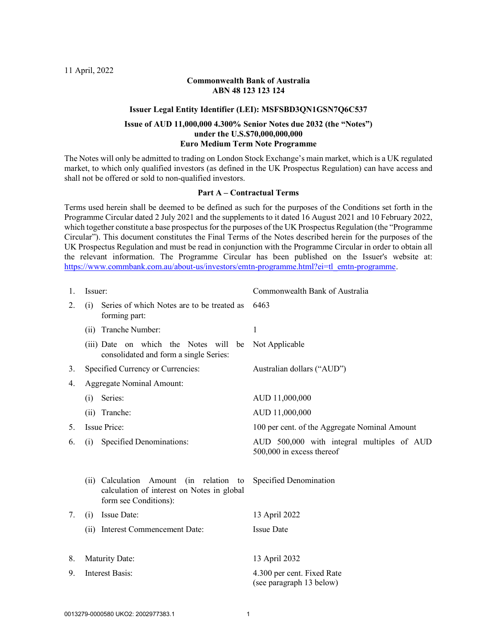#### Commonwealth Bank of Australia ABN 48 123 123 124

#### Issuer Legal Entity Identifier (LEI): MSFSBD3QN1GSN7Q6C537

#### Issue of AUD 11,000,000 4.300% Senior Notes due 2032 (the "Notes") under the U.S.\$70,000,000,000 Euro Medium Term Note Programme

The Notes will only be admitted to trading on London Stock Exchange's main market, which is a UK regulated market, to which only qualified investors (as defined in the UK Prospectus Regulation) can have access and shall not be offered or sold to non-qualified investors.

#### Part A – Contractual Terms

Terms used herein shall be deemed to be defined as such for the purposes of the Conditions set forth in the Programme Circular dated 2 July 2021 and the supplements to it dated 16 August 2021 and 10 February 2022, which together constitute a base prospectus for the purposes of the UK Prospectus Regulation (the "Programme Circular"). This document constitutes the Final Terms of the Notes described herein for the purposes of the UK Prospectus Regulation and must be read in conjunction with the Programme Circular in order to obtain all the relevant information. The Programme Circular has been published on the Issuer's website at: https://www.commbank.com.au/about-us/investors/emtn-programme.html?ei=tl\_emtn-programme.

| 1. | Issuer:                                                                                                        | Commonwealth Bank of Australia                                          |  |  |  |  |  |  |  |
|----|----------------------------------------------------------------------------------------------------------------|-------------------------------------------------------------------------|--|--|--|--|--|--|--|
| 2. | Series of which Notes are to be treated as<br>(i)<br>forming part:                                             | 6463                                                                    |  |  |  |  |  |  |  |
|    | (ii) Tranche Number:                                                                                           | 1                                                                       |  |  |  |  |  |  |  |
|    | (iii) Date on which the Notes will be<br>consolidated and form a single Series:                                | Not Applicable                                                          |  |  |  |  |  |  |  |
| 3. | Specified Currency or Currencies:                                                                              | Australian dollars ("AUD")                                              |  |  |  |  |  |  |  |
| 4. | <b>Aggregate Nominal Amount:</b>                                                                               |                                                                         |  |  |  |  |  |  |  |
|    | Series:<br>(i)                                                                                                 | AUD 11,000,000                                                          |  |  |  |  |  |  |  |
|    | Tranche:<br>(i)                                                                                                | AUD 11,000,000                                                          |  |  |  |  |  |  |  |
| 5. | <b>Issue Price:</b>                                                                                            | 100 per cent. of the Aggregate Nominal Amount                           |  |  |  |  |  |  |  |
| 6. | Specified Denominations:<br>(i)                                                                                | AUD 500,000 with integral multiples of AUD<br>500,000 in excess thereof |  |  |  |  |  |  |  |
|    | (ii) Calculation Amount (in relation to<br>calculation of interest on Notes in global<br>form see Conditions): | Specified Denomination                                                  |  |  |  |  |  |  |  |
| 7. | Issue Date:<br>(i)                                                                                             | 13 April 2022                                                           |  |  |  |  |  |  |  |
|    | Interest Commencement Date:<br>(ii)                                                                            | <b>Issue Date</b>                                                       |  |  |  |  |  |  |  |
|    |                                                                                                                |                                                                         |  |  |  |  |  |  |  |
| 8. | Maturity Date:                                                                                                 | 13 April 2032                                                           |  |  |  |  |  |  |  |
| 9. | Interest Basis:                                                                                                | 4.300 per cent. Fixed Rate<br>(see paragraph 13 below)                  |  |  |  |  |  |  |  |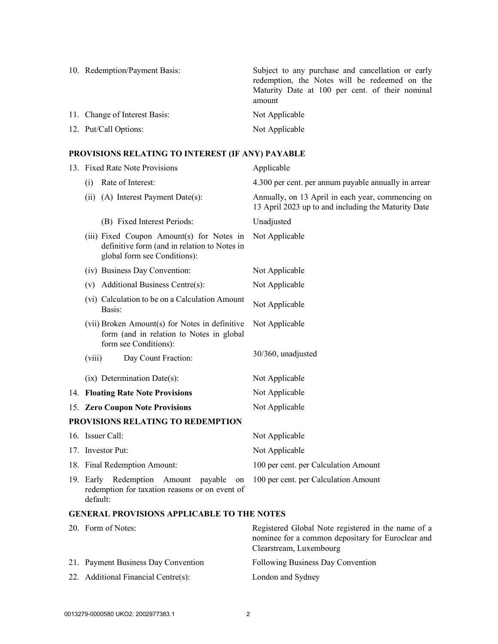| 10. Redemption/Payment Basis: | Subject to any purchase and cancellation or early<br>redemption, the Notes will be redeemed on the<br>Maturity Date at 100 per cent. of their nominal<br>amount |
|-------------------------------|-----------------------------------------------------------------------------------------------------------------------------------------------------------------|
| 11. Change of Interest Basis: | Not Applicable                                                                                                                                                  |
| 12. Put/Call Options:         | Not Applicable                                                                                                                                                  |

# PROVISIONS RELATING TO INTEREST (IF ANY) PAYABLE

| 13. Fixed Rate Note Provisions                                                                                            | Applicable                                                                                               |  |  |  |  |  |  |  |
|---------------------------------------------------------------------------------------------------------------------------|----------------------------------------------------------------------------------------------------------|--|--|--|--|--|--|--|
| Rate of Interest:<br>(i)                                                                                                  | 4.300 per cent. per annum payable annually in arrear                                                     |  |  |  |  |  |  |  |
| (ii) (A) Interest Payment Date(s):                                                                                        | Annually, on 13 April in each year, commencing on<br>13 April 2023 up to and including the Maturity Date |  |  |  |  |  |  |  |
| (B) Fixed Interest Periods:                                                                                               | Unadjusted                                                                                               |  |  |  |  |  |  |  |
| (iii) Fixed Coupon Amount(s) for Notes in<br>definitive form (and in relation to Notes in<br>global form see Conditions): | Not Applicable                                                                                           |  |  |  |  |  |  |  |
| (iv) Business Day Convention:                                                                                             | Not Applicable                                                                                           |  |  |  |  |  |  |  |
| Additional Business Centre(s):<br>(v)                                                                                     | Not Applicable                                                                                           |  |  |  |  |  |  |  |
| (vi) Calculation to be on a Calculation Amount<br>Basis:                                                                  | Not Applicable                                                                                           |  |  |  |  |  |  |  |
| (vii) Broken Amount(s) for Notes in definitive<br>form (and in relation to Notes in global<br>form see Conditions):       | Not Applicable                                                                                           |  |  |  |  |  |  |  |
| Day Count Fraction:<br>(viii)                                                                                             | 30/360, unadjusted                                                                                       |  |  |  |  |  |  |  |
| $(ix)$ Determination Date $(s)$ :                                                                                         | Not Applicable                                                                                           |  |  |  |  |  |  |  |
| 14. Floating Rate Note Provisions                                                                                         | Not Applicable                                                                                           |  |  |  |  |  |  |  |
| 15. Zero Coupon Note Provisions                                                                                           | Not Applicable                                                                                           |  |  |  |  |  |  |  |
| PROVISIONS RELATING TO REDEMPTION                                                                                         |                                                                                                          |  |  |  |  |  |  |  |
| 16. Issuer Call:                                                                                                          | Not Applicable                                                                                           |  |  |  |  |  |  |  |
| 17. Investor Put:                                                                                                         | Not Applicable                                                                                           |  |  |  |  |  |  |  |
| 18. Final Redemption Amount:                                                                                              | 100 per cent. per Calculation Amount                                                                     |  |  |  |  |  |  |  |
| 19. Early Redemption<br>Amount<br>payable<br>on<br>redemption for taxation reasons or on event of<br>default:             | 100 per cent. per Calculation Amount                                                                     |  |  |  |  |  |  |  |
| <b>GENERAL PROVISIONS APPLICABLE TO THE NOTES</b>                                                                         |                                                                                                          |  |  |  |  |  |  |  |

| 20. Form of Notes:                  | Registered Global Note registered in the name of a<br>nominee for a common depositary for Euroclear and<br>Clearstream, Luxembourg |
|-------------------------------------|------------------------------------------------------------------------------------------------------------------------------------|
| 21. Payment Business Day Convention | Following Business Day Convention                                                                                                  |
| 22. Additional Financial Centre(s): | London and Sydney                                                                                                                  |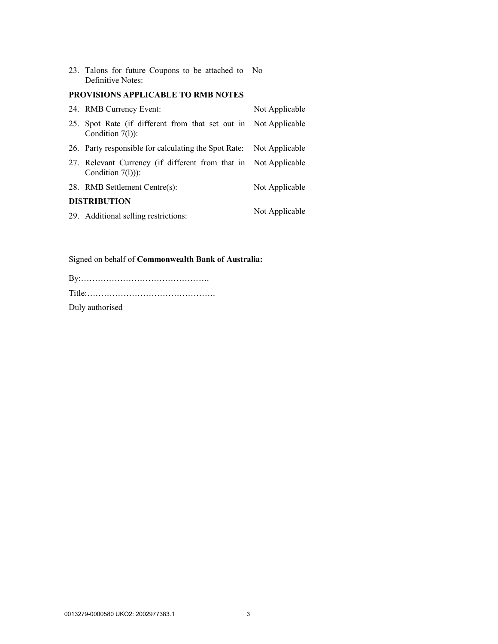23. Talons for future Coupons to be attached to No Definitive Notes:

## PROVISIONS APPLICABLE TO RMB NOTES

| 24. RMB Currency Event:                                                                | Not Applicable |
|----------------------------------------------------------------------------------------|----------------|
| 25. Spot Rate (if different from that set out in Not Applicable<br>Condition $7(1)$ :  |                |
| 26. Party responsible for calculating the Spot Rate: Not Applicable                    |                |
| 27. Relevant Currency (if different from that in Not Applicable<br>Condition $7(1)$ ): |                |
| 28. RMB Settlement Centre(s):                                                          | Not Applicable |
| <b>DISTRIBUTION</b>                                                                    |                |
| 29. Additional selling restrictions:                                                   | Not Applicable |

## Signed on behalf of Commonwealth Bank of Australia:

| Duly authorised |  |  |  |  |  |  |  |  |  |  |  |  |  |  |
|-----------------|--|--|--|--|--|--|--|--|--|--|--|--|--|--|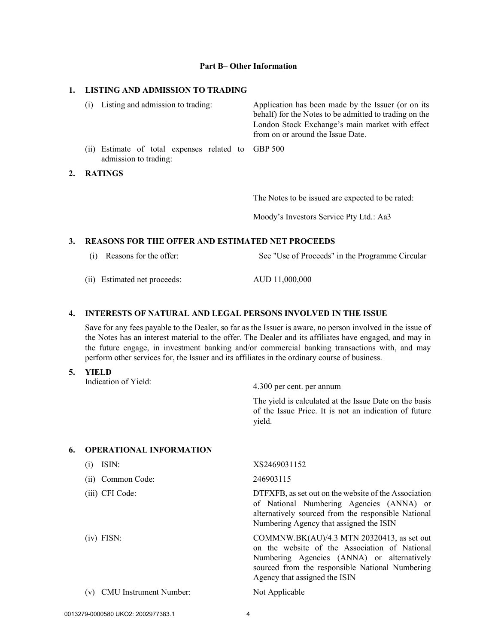#### Part B– Other Information

### 1. LISTING AND ADMISSION TO TRADING

| (1) | Listing and admission to trading:                                           | Application has been made by the Issuer (or on its<br>behalf) for the Notes to be admitted to trading on the<br>London Stock Exchange's main market with effect<br>from on or around the Issue Date. |
|-----|-----------------------------------------------------------------------------|------------------------------------------------------------------------------------------------------------------------------------------------------------------------------------------------------|
|     | (ii) Estimate of total expenses related to GBP 500<br>admission to trading: |                                                                                                                                                                                                      |
|     | <b>DATIMOS</b>                                                              |                                                                                                                                                                                                      |

2. RATINGS

The Notes to be issued are expected to be rated:

Moody's Investors Service Pty Ltd.: Aa3

## 3. REASONS FOR THE OFFER AND ESTIMATED NET PROCEEDS

(i) Reasons for the offer: See "Use of Proceeds" in the Programme Circular

(ii) Estimated net proceeds: AUD 11,000,000

## 4. INTERESTS OF NATURAL AND LEGAL PERSONS INVOLVED IN THE ISSUE

Save for any fees payable to the Dealer, so far as the Issuer is aware, no person involved in the issue of the Notes has an interest material to the offer. The Dealer and its affiliates have engaged, and may in the future engage, in investment banking and/or commercial banking transactions with, and may perform other services for, the Issuer and its affiliates in the ordinary course of business.

5. YIELD Indication of Yield: 4.300 per cent. per annum

The yield is calculated at the Issue Date on the basis of the Issue Price. It is not an indication of future yield.

## 6. OPERATIONAL INFORMATION

| ISIN:                         | XS2469031152                                                                                                                                                                                                                     |
|-------------------------------|----------------------------------------------------------------------------------------------------------------------------------------------------------------------------------------------------------------------------------|
| Common Code:<br>(i)           | 246903115                                                                                                                                                                                                                        |
| $(iii)$ CFI Code:             | DTFXFB, as set out on the website of the Association<br>of National Numbering Agencies (ANNA) or<br>alternatively sourced from the responsible National<br>Numbering Agency that assigned the ISIN                               |
| $(iv)$ FISN:                  | COMMNW.BK $(AU)/4.3$ MTN 20320413, as set out<br>on the website of the Association of National<br>Numbering Agencies (ANNA) or alternatively<br>sourced from the responsible National Numbering<br>Agency that assigned the ISIN |
| <b>CMU</b> Instrument Number: | Not Applicable                                                                                                                                                                                                                   |